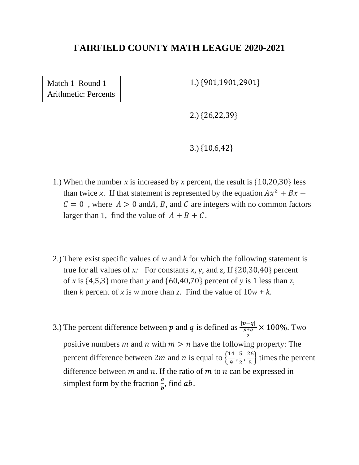Match 1 Round 1 Arithmetic: Percents 1.) {901,1901,2901}

2.) {26,22,39}

3.) {10,6,42}

- 1.) When the number *x* is increased by *x* percent, the result is {10,20,30} less than twice x. If that statement is represented by the equation  $Ax^2 + Bx$  +  $C = 0$ , where  $A > 0$  and A, B, and C are integers with no common factors larger than 1, find the value of  $A + B + C$ .
- 2.) There exist specific values of *w* and *k* for which the following statement is true for all values of *x*: For constants *x*, *y*, and *z*, If  $\{20,30,40\}$  percent of *x* is {4,5,3} more than *y* and {60,40,70} percent of *y* is 1 less than *z*, then *k* percent of *x* is *w* more than *z*. Find the value of  $10w + k$ .
- 3.) The percent difference between p and q is defined as  $\frac{|p-q|}{p+q}$ 2 × 100%. Two positive numbers m and n with  $m > n$  have the following property: The percent difference between 2*m* and *n* is equal to  $\frac{14}{9}$  $\frac{14}{9}, \frac{5}{2}$  $\frac{5}{2}$ ,  $\frac{26}{5}$  $\frac{16}{5}$  times the percent difference between  $m$  and  $n$ . If the ratio of  $m$  to  $n$  can be expressed in simplest form by the fraction  $\frac{a}{b}$ , find ab.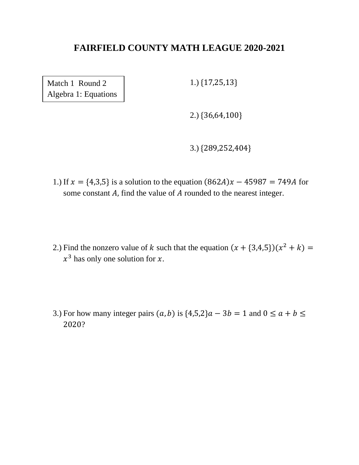Match 1 Round 2 Algebra 1: Equations 1.) {17,25,13}

2.) {36,64,100}

3.) {289,252,404}

- 1.) If  $x = \{4,3,5\}$  is a solution to the equation  $(862A)x 45987 = 749A$  for some constant  $A$ , find the value of  $A$  rounded to the nearest integer.
- 2.) Find the nonzero value of k such that the equation  $(x + \{3,4,5\})(x^2 + k) =$  $x^3$  has only one solution for x.
- 3.) For how many integer pairs  $(a, b)$  is  $\{4,5,2\}$  $a 3b = 1$  and  $0 \le a + b \le b$ 2020?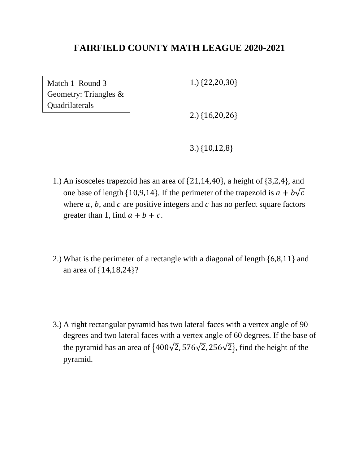Match 1 Round 3 Geometry: Triangles & Quadrilaterals

1.) {22,20,30}

2.) {16,20,26}

3.) {10,12,8}

- 1.) An isosceles trapezoid has an area of {21,14,40}, a height of {3,2,4}, and one base of length {10,9,14}. If the perimeter of the trapezoid is  $a + b\sqrt{c}$ where  $a, b$ , and  $c$  are positive integers and  $c$  has no perfect square factors greater than 1, find  $a + b + c$ .
- 2.) What is the perimeter of a rectangle with a diagonal of length {6,8,11} and an area of {14,18,24}?
- 3.) A right rectangular pyramid has two lateral faces with a vertex angle of 90 degrees and two lateral faces with a vertex angle of 60 degrees. If the base of the pyramid has an area of  $\{400\sqrt{2}, 576\sqrt{2}, 256\sqrt{2}\}$ , find the height of the pyramid.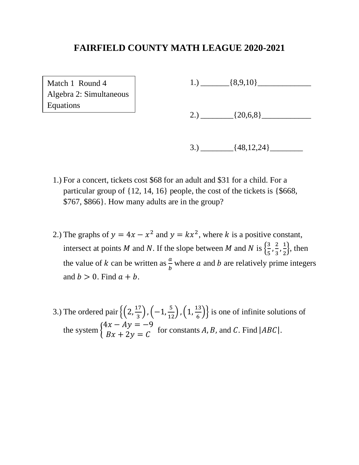Match 1 Round 4 Algebra 2: Simultaneous Equations

1.)  $\frac{8,9,10}$ 

2.)  $[20,6,8]$ 

 $3.) \qquad \qquad$   $\{48,12,24\} \qquad \qquad$ 

- 1.) For a concert, tickets cost \$68 for an adult and \$31 for a child. For a particular group of {12, 14, 16} people, the cost of the tickets is {\$668, \$767, \$866}. How many adults are in the group?
- 2.) The graphs of  $y = 4x x^2$  and  $y = kx^2$ , where k is a positive constant, intersect at points M and N. If the slope between M and N is  $\left\{\frac{3}{5}\right\}$  $\frac{3}{5}, \frac{2}{3}$  $\frac{2}{3}, \frac{1}{2}$  $\frac{1}{2}$ , then the value of k can be written as  $\frac{a}{b}$  where a and b are relatively prime integers and  $b > 0$ . Find  $a + b$ .
- 3.) The ordered pair  $\left\{ \left(2, \frac{17}{2}\right) \right\}$  $\frac{17}{3}$ ,  $\left(-1,\frac{5}{12}\right)$ ,  $\left(1,\frac{13}{6}\right)$  $\left\{\frac{15}{6}\right\}$  is one of infinite solutions of the system {  $4x - Ay = -9$  $\begin{aligned} Ax + 2y &= C \end{aligned}$  for constants A, B, and C. Find  $|ABC|$ .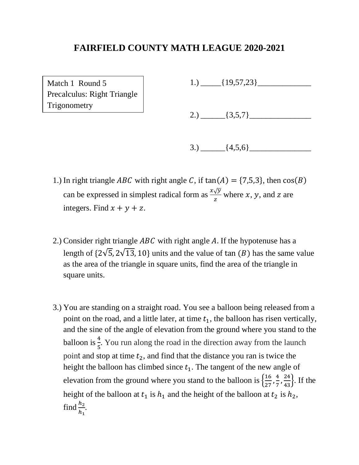Match 1 Round 5 Precalculus: Right Triangle **Trigonometry** 

1.)  $[19,57,23]$ 

2.)  $\qquad \qquad \qquad$   $\qquad \qquad$   $\qquad \qquad$   $\qquad \qquad$   $\qquad \qquad$   $\qquad \qquad$   $\qquad \qquad$   $\qquad \qquad$   $\qquad \qquad$   $\qquad \qquad$   $\qquad \qquad$   $\qquad$   $\qquad$   $\qquad$   $\qquad$   $\qquad$   $\qquad$   $\qquad$   $\qquad$   $\qquad$   $\qquad$   $\qquad$   $\qquad$   $\qquad$   $\qquad$   $\qquad$   $\qquad$   $\qquad$   $\qquad$   $\qquad$ 

- $3.) \qquad \qquad$  {4,5,6}
- 1.) In right triangle *ABC* with right angle C, if  $tan(A) = \{7,5,3\}$ , then  $cos(B)$ can be expressed in simplest radical form as  $\frac{x\sqrt{y}}{z}$  where x, y, and z are integers. Find  $x + y + z$ .
- 2.) Consider right triangle  $ABC$  with right angle A. If the hypotenuse has a length of  $\{2\sqrt{5}, 2\sqrt{13}, 10\}$  units and the value of tan  $(B)$  has the same value as the area of the triangle in square units, find the area of the triangle in square units.
- 3.) You are standing on a straight road. You see a balloon being released from a point on the road, and a little later, at time  $t_1$ , the balloon has risen vertically, and the sine of the angle of elevation from the ground where you stand to the balloon is  $\frac{4}{5}$ . You run along the road in the direction away from the launch point and stop at time  $t_2$ , and find that the distance you ran is twice the height the balloon has climbed since  $t_1$ . The tangent of the new angle of elevation from the ground where you stand to the balloon is  $\frac{16}{27}$  $\frac{16}{27}, \frac{4}{7}$  $\frac{4}{7}, \frac{24}{43}$ . If the height of the balloon at  $t_1$  is  $h_1$  and the height of the balloon at  $t_2$  is  $h_2$ , find  $\frac{h_2}{h}$  $h_1$ .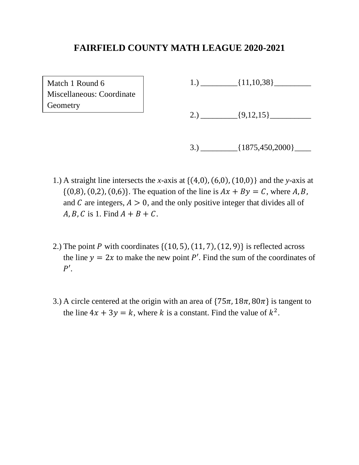Match 1 Round 6 Miscellaneous: Coordinate **Geometry** 

1.)  $[11,10,38]$ 

2.)  $[9,12,15]$ 

- $3.) \qquad \qquad \{1875,450,2000\} \qquad \qquad$
- 1.) A straight line intersects the *x*-axis at {(4,0), (6,0), (10,0)} and the *y*-axis at  $\{(0,8), (0,2), (0,6)\}.$  The equation of the line is  $Ax + By = C$ , where A, B, and C are integers,  $A > 0$ , and the only positive integer that divides all of  $A, B, C$  is 1. Find  $A + B + C$ .
- 2.) The point P with coordinates  $\{(10, 5), (11, 7), (12, 9)\}\$  is reflected across the line  $y = 2x$  to make the new point P'. Find the sum of the coordinates of  $P'$ .
- 3.) A circle centered at the origin with an area of  $\{75\pi, 18\pi, 80\pi\}$  is tangent to the line  $4x + 3y = k$ , where k is a constant. Find the value of  $k^2$ .